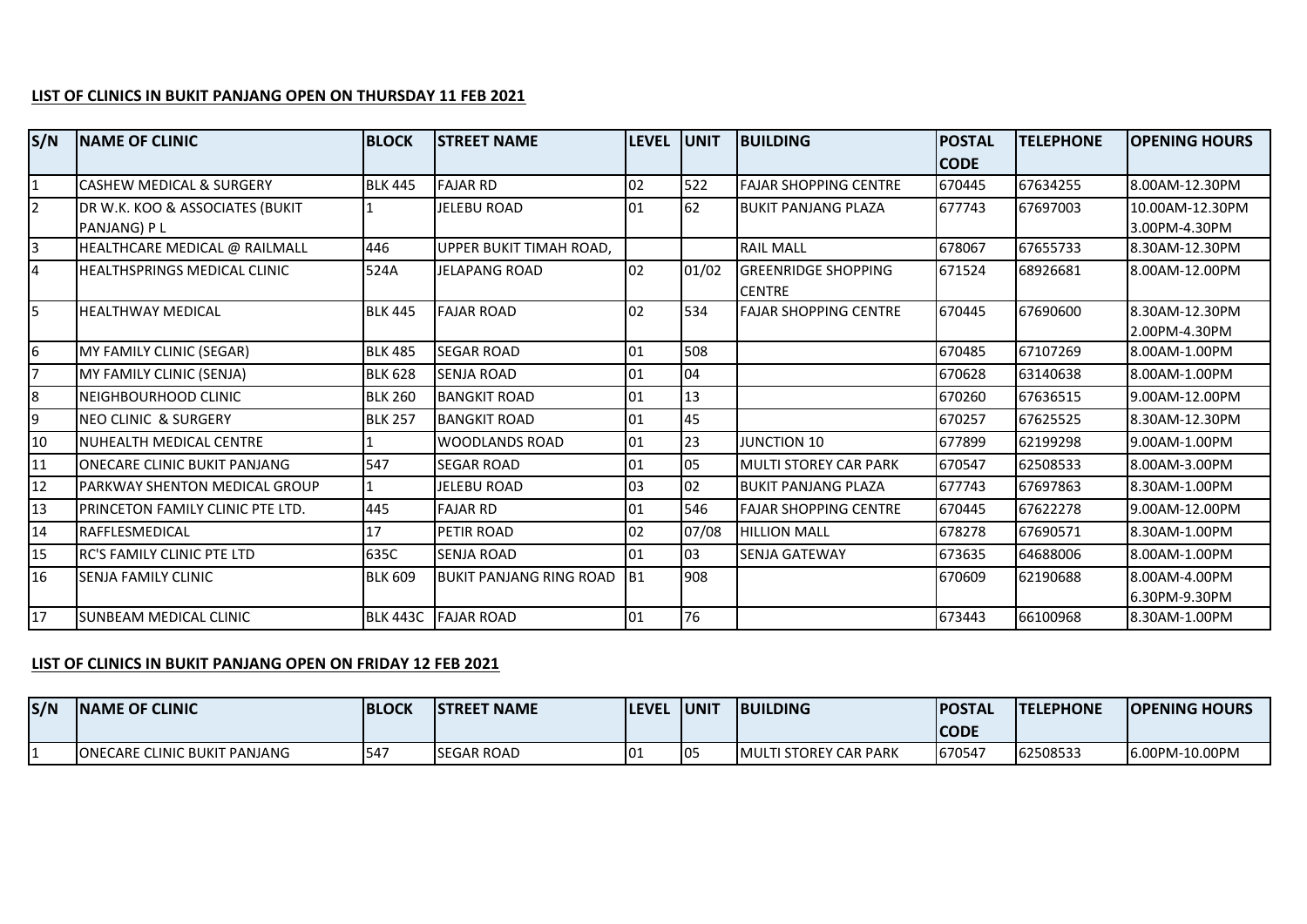## **LIST OF CLINICS IN BUKIT PANJANG OPEN ON THURSDAY 11 FEB 2021**

| S/N              | <b>INAME OF CLINIC</b>               | <b>BLOCK</b>   | <b>STREET NAME</b>             | LEVEL UNIT |       | <b>BUILDING</b>              | <b>POSTAL</b> | <b>TELEPHONE</b> | <b>OPENING HOURS</b> |
|------------------|--------------------------------------|----------------|--------------------------------|------------|-------|------------------------------|---------------|------------------|----------------------|
|                  |                                      |                |                                |            |       |                              | <b>CODE</b>   |                  |                      |
| $\mathbf{1}$     | CASHEW MEDICAL & SURGERY             | <b>BLK 445</b> | <b>FAJAR RD</b>                | 02         | 522   | <b>FAJAR SHOPPING CENTRE</b> | 670445        | 67634255         | 8.00AM-12.30PM       |
| $\overline{2}$   | DR W.K. KOO & ASSOCIATES (BUKIT      |                | <b>JELEBU ROAD</b>             | 01         | 62    | <b>BUKIT PANJANG PLAZA</b>   | 677743        | 67697003         | 10.00AM-12.30PM      |
|                  | PANJANG) P L                         |                |                                |            |       |                              |               |                  | 3.00PM-4.30PM        |
| $\overline{3}$   | HEALTHCARE MEDICAL @ RAILMALL        | 446            | UPPER BUKIT TIMAH ROAD.        |            |       | <b>RAIL MALL</b>             | 678067        | 67655733         | 8.30AM-12.30PM       |
| $\overline{4}$   | <b>HEALTHSPRINGS MEDICAL CLINIC</b>  | 524A           | <b>JELAPANG ROAD</b>           | 02         | 01/02 | <b>GREENRIDGE SHOPPING</b>   | 671524        | 68926681         | 8.00AM-12.00PM       |
|                  |                                      |                |                                |            |       | <b>CENTRE</b>                |               |                  |                      |
| $\overline{5}$   | <b>HEALTHWAY MEDICAL</b>             | <b>BLK 445</b> | <b>FAJAR ROAD</b>              | 02         | 534   | <b>FAJAR SHOPPING CENTRE</b> | 670445        | 67690600         | 8.30AM-12.30PM       |
|                  |                                      |                |                                |            |       |                              |               |                  | 2.00PM-4.30PM        |
| $6 \overline{6}$ | MY FAMILY CLINIC (SEGAR)             | <b>BLK 485</b> | <b>SEGAR ROAD</b>              | 01         | 508   |                              | 670485        | 67107269         | 8.00AM-1.00PM        |
| 7                | MY FAMILY CLINIC (SENJA)             | <b>BLK 628</b> | <b>SENJA ROAD</b>              | 01         | 04    |                              | 670628        | 63140638         | 8.00AM-1.00PM        |
| 8                | NEIGHBOURHOOD CLINIC                 | <b>BLK 260</b> | <b>BANGKIT ROAD</b>            | 01         | 13    |                              | 670260        | 67636515         | 9.00AM-12.00PM       |
| 9                | <b>NEO CLINIC &amp; SURGERY</b>      | <b>BLK 257</b> | <b>BANGKIT ROAD</b>            | 01         | 45    |                              | 670257        | 67625525         | 8.30AM-12.30PM       |
| 10               | NUHEALTH MEDICAL CENTRE              |                | <b>WOODLANDS ROAD</b>          | 01         | 23    | <b>JUNCTION 10</b>           | 677899        | 62199298         | 9.00AM-1.00PM        |
| 11               | <b>ONECARE CLINIC BUKIT PANJANG</b>  | 547            | <b>SEGAR ROAD</b>              | 01         | 05    | <b>MULTI STOREY CAR PARK</b> | 670547        | 62508533         | 8.00AM-3.00PM        |
| 12               | <b>PARKWAY SHENTON MEDICAL GROUP</b> |                | <b>JELEBU ROAD</b>             | 03         | 02    | <b>BUKIT PANJANG PLAZA</b>   | 677743        | 67697863         | 8.30AM-1.00PM        |
| 13               | PRINCETON FAMILY CLINIC PTE LTD.     | 445            | <b>FAJAR RD</b>                | 01         | 546   | <b>FAJAR SHOPPING CENTRE</b> | 670445        | 67622278         | 9.00AM-12.00PM       |
| 14               | <b>IRAFFLESMEDICAL</b>               | 17             | PETIR ROAD                     | 02         | 07/08 | <b>HILLION MALL</b>          | 678278        | 67690571         | 8.30AM-1.00PM        |
| 15               | IRC'S FAMILY CLINIC PTE LTD          | 635C           | SENJA ROAD                     | 01         | 03    | <b>SENJA GATEWAY</b>         | 673635        | 64688006         | 8.00AM-1.00PM        |
| 16               | <b>SENJA FAMILY CLINIC</b>           | <b>BLK 609</b> | <b>BUKIT PANJANG RING ROAD</b> | IB1        | 908   |                              | 670609        | 62190688         | 8.00AM-4.00PM        |
|                  |                                      |                |                                |            |       |                              |               |                  | 6.30PM-9.30PM        |
| 17               | <b>I</b> SUNBEAM MEDICAL CLINIC      |                | BLK 443C FAJAR ROAD            | 01         | 76    |                              | 673443        | 66100968         | 8.30AM-1.00PM        |

## **LIST OF CLINICS IN BUKIT PANJANG OPEN ON FRIDAY 12 FEB 2021**

| S/N | <b>INAME OF CLINIC</b>              | <b>BLOCK</b> | <b>ISTREET NAME</b> | <b>ILEVEL</b> | <b>JUNIT</b> | <b>BUILDING</b>               | <b>IPOSTAL</b><br><b>CODE</b> | <b>ITELEPHONE</b> | <b>OPENING HOURS</b> |
|-----|-------------------------------------|--------------|---------------------|---------------|--------------|-------------------------------|-------------------------------|-------------------|----------------------|
|     | <b>ONECARE CLINIC BUKIT PANJANG</b> | I54.         | <b>ISEGAR ROAD</b>  | 101           | 105          | <b>IMULTI STOREY CAR PARK</b> | 670547                        | 62508533          | 6.00PM-10.00PM       |